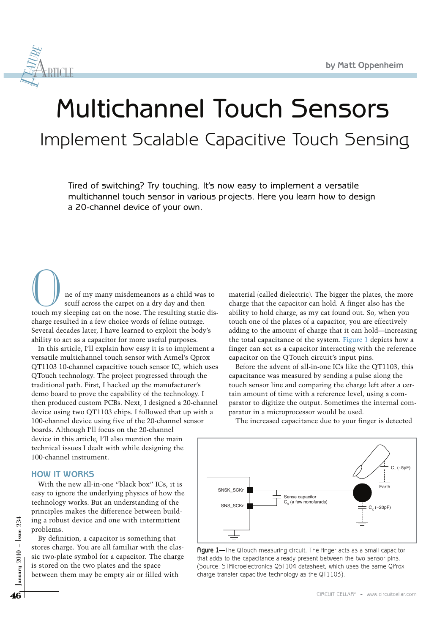

# Multichannel Touch Sensors Implement Scalable Capacitive Touch Sensing

Tired of switching? Try touching. It's now easy to implement a versatile multichannel touch sensor in various projects. Here you learn how to design a 20-channel device of your own.

O ne of my many misdemeanors as a child was to scuff across the carpet on a dry day and then touch my sleeping cat on the nose. The resulting static discharge resulted in a few choice words of feline outrage. Several decades later, I have learned to exploit the body's ability to act as a capacitor for more useful purposes.

In this article, I'll explain how easy it is to implement a versatile multichannel touch sensor with Atmel's Qprox QT1103 10-channel capacitive touch sensor IC, which uses QTouch technology. The project progressed through the traditional path. First, I hacked up the manufacturer's demo board to prove the capability of the technology. I then produced custom PCBs. Next, I designed a 20-channel device using two QT1103 chips. I followed that up with a 100-channel device using five of the 20-channel sensor boards. Although I'll focus on the 20-channel device in this article, I'll also mention the main technical issues I dealt with while designing the 100-channel instrument.

## **HOW IT WORKS**

With the new all-in-one "black box" ICs, it is easy to ignore the underlying physics of how the technology works. But an understanding of the principles makes the difference between building a robust device and one with intermittent problems.

46<br>  $\frac{1}{25}$  ing a robust device and one with intermittent<br>
problems.<br>
By definition, a capacitor is something that<br>
sixtores charge. You are all familiar with the clas-<br>
sixtore of the symbol for a capacitor. The charg By definition, a capacitor is something that stores charge. You are all familiar with the classic two-plate symbol for a capacitor. The charge is stored on the two plates and the space between them may be empty air or filled with

material (called dielectric). The bigger the plates, the more charge that the capacitor can hold. A finger also has the ability to hold charge, as my cat found out. So, when you touch one of the plates of a capacitor, you are effectively adding to the amount of charge that it can hold—increasing the total capacitance of the system. Figure 1 depicts how a finger can act as a capacitor interacting with the reference capacitor on the QTouch circuit's input pins.

Before the advent of all-in-one ICs like the QT1103, this capacitance was measured by sending a pulse along the touch sensor line and comparing the charge left after a certain amount of time with a reference level, using a comparator to digitize the output. Sometimes the internal comparator in a microprocessor would be used.

The increased capacitance due to your finger is detected



Figure 1-The QTouch measuring circuit. The finger acts as a small capacitor that adds to the capacitance already present between the two sensor pins. (Source: STMicroelectronics QST104 datasheet, which uses the same QProx charge transfer capacitive technology as the QT1103).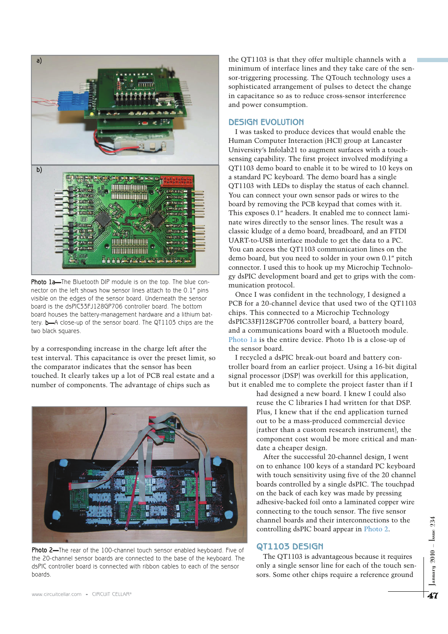

Photo 1a-The Bluetooth DIP module is on the top. The blue connector on the left shows how sensor lines attach to the 0.1" pins visible on the edges of the sensor board. Underneath the sensor board is the dsPIC33FJ128GP706 controller board. The bottom board houses the battery-management hardware and a lithium battery. b—A close-up of the sensor board. The QT1103 chips are the two black squares.

by a corresponding increase in the charge left after the test interval. This capacitance is over the preset limit, so the comparator indicates that the sensor has been touched. It clearly takes up a lot of PCB real estate and a number of components. The advantage of chips such as



Photo 2-The rear of the 100-channel touch sensor enabled keyboard. Five of the 20-channel sensor boards are connected to the base of the keyboard. The dsPIC controller board is connected with ribbon cables to each of the sensor boards.

the QT1103 is that they offer multiple channels with a minimum of interface lines and they take care of the sensor-triggering processing. The QTouch technology uses a sophisticated arrangement of pulses to detect the change in capacitance so as to reduce cross-sensor interference and power consumption.

#### **DESIGN EVOLUTION**

I was tasked to produce devices that would enable the Human Computer Interaction (HCI) group at Lancaster University's Infolab21 to augment surfaces with a touchsensing capability. The first project involved modifying a QT1103 demo board to enable it to be wired to 10 keys on a standard PC keyboard. The demo board has a single QT1103 with LEDs to display the status of each channel. You can connect your own sensor pads or wires to the board by removing the PCB keypad that comes with it. This exposes 0.1" headers. It enabled me to connect laminate wires directly to the sensor lines. The result was a classic kludge of a demo board, breadboard, and an FTDI UART-to-USB interface module to get the data to a PC. You can access the QT1103 communication lines on the demo board, but you need to solder in your own 0.1" pitch connector. I used this to hook up my Microchip Technology dsPIC development board and get to grips with the communication protocol.

Once I was confident in the technology, I designed a PCB for a 20-channel device that used two of the QT1103 chips. This connected to a Microchip Technology dsPIC33FJ128GP706 controller board, a battery board, and a communications board with a Bluetooth module. Photo 1a is the entire device. Photo 1b is a close-up of the sensor board.

I recycled a dsPIC break-out board and battery controller board from an earlier project. Using a 16-bit digital signal processor (DSP) was overkill for this application, but it enabled me to complete the project faster than if I

> had designed a new board. I knew I could also reuse the C libraries I had written for that DSP. Plus, I knew that if the end application turned out to be a mass-produced commercial device (rather than a custom research instrument), the component cost would be more critical and mandate a cheaper design.

> After the successful 20-channel design, I went on to enhance 100 keys of a standard PC keyboard with touch sensitivity using five of the 20 channel boards controlled by a single dsPIC. The touchpad on the back of each key was made by pressing adhesive-backed foil onto a laminated copper wire connecting to the touch sensor. The five sensor channel boards and their interconnections to the controlling dsPIC board appear in Photo 2.

#### **QT1103 DESIGN**

The QT1103 is advantageous because it requires only a single sensor line for each of the touch sensors. Some other chips require a reference ground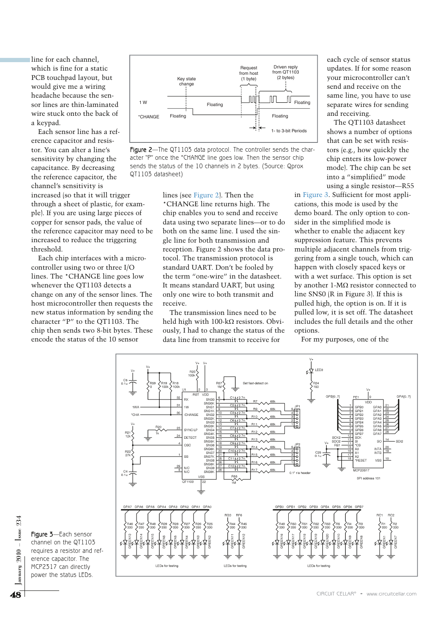line for each channel, which is fine for a static PCB touchpad layout, but would give me a wiring headache because the sensor lines are thin-laminated wire stuck onto the back of a keypad.

Each sensor line has a reference capacitor and resistor. You can alter a line's sensitivity by changing the capacitance. By decreasing the reference capacitor, the channel's sensitivity is increased (so that it will trigger through a sheet of plastic, for example). If you are using large pieces of copper for sensor pads, the value of the reference capacitor may need to be increased to reduce the triggering threshold.

Each chip interfaces with a microcontroller using two or three I/O lines. The \*CHANGE line goes low whenever the QT1103 detects a change on any of the sensor lines. The host microcontroller then requests the new status information by sending the character "P" to the QT1103. The chip then sends two 8-bit bytes. These encode the status of the 10 sensor



Figure 2-The QT1103 data protocol. The controller sends the character "P" once the \*CHANGE line goes low. Then the sensor chip sends the status of the 10 channels in 2 bytes. (Source: Qprox QT1103 datasheet)

> lines (see Figure 2). Then the \*CHANGE line returns high. The chip enables you to send and receive data using two separate lines—or to do both on the same line. I used the single line for both transmission and reception. Figure 2 shows the data protocol. The transmission protocol is standard UART. Don't be fooled by the term "one-wire" in the datasheet. It means standard UART, but using only one wire to both transmit and receive.

> The transmission lines need to be held high with  $100 - k\Omega$  resistors. Obviously, I had to change the status of the data line from transmit to receive for

each cycle of sensor status updates. If for some reason your microcontroller can't send and receive on the same line, you have to use separate wires for sending and receiving.

The QT1103 datasheet shows a number of options that can be set with resistors (e.g., how quickly the chip enters its low-power mode). The chip can be set into a "simplified" mode using a single resistor—R55

in Figure 3. Sufficient for most applications, this mode is used by the demo board. The only option to consider in the simplified mode is whether to enable the adjacent key suppression feature. This prevents multiple adjacent channels from triggering from a single touch, which can happen with closely spaced keys or with a wet surface. This option is set by another 1- $M\Omega$  resistor connected to line SNS0 (R in Figure 3). If this is pulled high, the option is on. If it is pulled low, it is set off. The datasheet includes the full details and the other options.

For my purposes, one of the



Figure 3—Each sensor channel on the QT1103 requires a resistor and reference capacitor. The MCP2317 can directly power the status LEDs.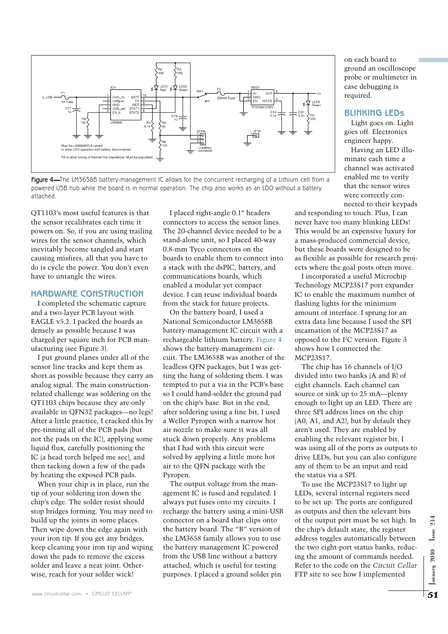

Figure 4-The LM3658B battery-management IC allows for the concurrent recharging of a Lithium cell from a powered USB hub while the board is in normal operation. The chip also works as an LDO without a battery attached.

QT1103's most useful features is that the sensor recalibrates each time it powers on. So, if you are using trailing wires for the sensor channels, which inevitably become tangled and start causing misfires, all that you have to do is cycle the power. You don't even have to untangle the wires.

### **HARDWARE CONSTRUCTION**

I completed the schematic capture and a two-layer PCB layout with EAGLE v5.2. I packed the boards as densely as possible because I was charged per square inch for PCB manufacturing (see Figure 3).

I put ground planes under all of the sensor line tracks and kept them as short as possible because they carry an analog signal. The main constructionrelated challenge was soldering on the QT1103 chips because they are only available in QFN32 packages—no legs! After a little practice, I cracked this by pre-tinning all of the PCB pads (but not the pads on the IC), applying some liquid flux, carefully positioning the IC (a head torch helped me see), and then tacking down a few of the pads by heating the exposed PCB pads.

When your chip is in place, run the tip of your soldering iron down the chip's edge. The solder resist should stop bridges forming. You may need to build up the joints in some places. Then wipe down the edge again with your iron tip. If you get any bridges, keep cleaning your iron tip and wiping down the pads to remove the excess solder and leave a neat joint. Otherwise, reach for your solder wick!

I placed right-angle 0.1" headers connectors to access the sensor lines. The 20-channel device needed to be a stand-alone unit, so I placed 40-way 0.8-mm Tyco connectors on the boards to enable them to connect into a stack with the dsPIC, battery, and communications boards, which enabled a modular yet compact device. I can reuse individual boards from the stack for future projects.

On the battery board, I used a National Semiconductor LM3658B battery-management IC circuit with a rechargeable lithium battery. Figure 4 shows the battery-management circuit. The LM3658B was another of the leadless QFN packages, but I was getting the hang of soldering them. I was tempted to put a via in the PCB's base so I could hand-solder the ground pad on the chip's base. But in the end, after soldering using a fine bit, I used a Weller Pyropen with a narrow hot air nozzle to make sure it was all stuck down properly. Any problems that I had with this circuit were solved by applying a little more hot air to the QFN package with the Pyropen.

The output voltage from the management IC is fused and regulated. I always put fuses onto my circuits. I recharge the battery using a mini-USB connector on a board that clips onto the battery board. The "B" version of the LM3658 family allows you to use the battery management IC powered from the USB line without a battery attached, which is useful for testing purposes. I placed a ground solder pin

on each board to ground an oscilloscope probe or multimeter in case debugging is required.

#### **BLINKING LEDS**

Light goes on. Light goes off. Electronics engineer happy.

Having an LED illuminate each time a channel was activated enabled me to verify that the sensor wires were correctly connected to their keypads

and responding to touch. Plus, I can never have too many blinking LEDs! This would be an expensive luxury for a mass-produced commercial device, but these boards were designed to be as flexible as possible for research projects where the goal posts often move.

I incorporated a useful Microchip Technology MCP23S17 port expander IC to enable the maximum number of flashing lights for the minimum amount of interface. I sprung for an extra data line because I used the SPI incarnation of the MCP23S17 as opposed to the I<sup>2</sup>C version. Figure 3 shows how I connected the MCP23S17.

The chip has 16 channels of I/O divided into two banks (A and B) of eight channels. Each channel can source or sink up to 25 mA—plenty enough to light up an LED. There are three SPI address lines on the chip (A0, A1, and A2), but by default they aren't used. They are enabled by enabling the relevant register bit. I was using all of the ports as outputs to drive LEDs, but you can also configure any of them to be an input and read the status via a SPI.

To use the MCP23S17 to light up LEDs, several internal registers need to be set up. The ports are configured as outputs and then the relevant bits of the output port must be set high. In the chip's default state, the register address toggles automatically between the two eight-port status banks, reducing the amount of commands needed. Refer to the code on the *Circuit Cellar* FTP site to see how I implemented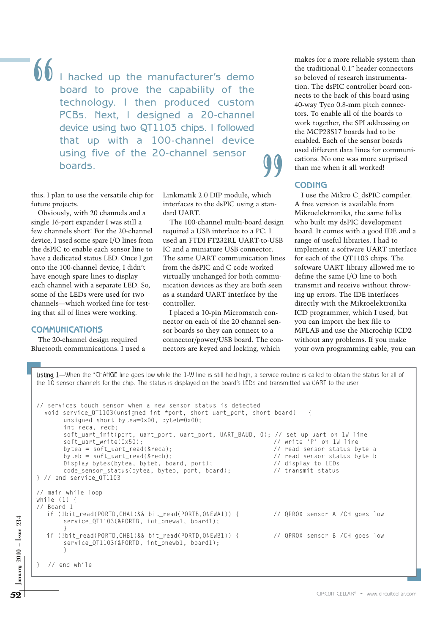$\bigcirc$  I hacked up the manufacturer's demo board to prove the capability of the technology. I then produced custom PCBs. Next, I designed a 20-channel device using two QT1103 chips. I followed that up with a 100-channel device using five of the 20-channel sensor boards.

this. I plan to use the versatile chip for future projects.

Obviously, with 20 channels and a single 16-port expander I was still a few channels short! For the 20-channel device, I used some spare I/O lines from the dsPIC to enable each sensor line to have a dedicated status LED. Once I got onto the 100-channel device, I didn't have enough spare lines to display each channel with a separate LED. So, some of the LEDs were used for two channels—which worked fine for testing that all of lines were working.

### **COMMUNICATIONS**

The 20-channel design required Bluetooth communications. I used a Linkmatik 2.0 DIP module, which interfaces to the dsPIC using a standard UART.

The 100-channel multi-board design required a USB interface to a PC. I used an FTDI FT232RL UART-to-USB IC and a miniature USB connector. The same UART communication lines from the dsPIC and C code worked virtually unchanged for both communication devices as they are both seen as a standard UART interface by the controller. CO<br>
ich I<br>
stan- A fr<br>
Mik<br>
design who<br>
design who<br>
C. I boa:<br>
to-USB rang<br>
ttor. imp

I placed a 10-pin Micromatch connector on each of the 20 channel sensor boards so they can connect to a connector/power/USB board. The connectors are keyed and locking, which

makes for a more reliable system than the traditional 0.1" header connectors so beloved of research instrumentation. The dsPIC controller board connects to the back of this board using 40-way Tyco 0.8-mm pitch connectors. To enable all of the boards to work together, the SPI addressing on the MCP23S17 boards had to be enabled. Each of the sensor boards used different data lines for communications. No one was more surprised than me when it all worked!

## **CODING**

I use the Mikro C\_dsPIC compiler. A free version is available from Mikroelektronika, the same folks who built my dsPIC development board. It comes with a good IDE and a range of useful libraries. I had to implement a software UART interface for each of the QT1103 chips. The software UART library allowed me to define the same I/O line to both transmit and receive without throwing up errors. The IDE interfaces directly with the Mikroelektronika ICD programmer, which I used, but you can import the hex file to MPLAB and use the Microchip ICD2 without any problems. If you make your own programming cable, you can

SERVICE (DTIID3(&PORTD, CHB1)&& bit\_read(PORTD, ONEWB1)) {<br>
if (!bit\_read(PORTD, CHB1)&& bit\_read(PORTD, ONEWB1)) {<br>
if (!bit\_read(PORTD, CHB1)&& bit\_read(PORTD, ONEWB1)) {<br>
y<br>
y<br>
y and while<br>
y<br>
y and while<br>
y<br>
y and whil Listing 1-When the \*CHANGE line goes low while the 1-W line is still held high, a service routine is called to obtain the status for all of the 10 sensor channels for the chip. The status is displayed on the board's LEDs and transmitted via UART to the user. // services touch sensor when a new sensor status is detected void service\_QT1103(unsigned int \*port, short uart\_port, short board) { unsigned short bytea=0x00, byteb=0x00; int reca, recb; soft\_uart\_init(port, uart\_port, uart\_port, UART\_BAUD, 0); // set up uart on 1W line<br>soft uart write(0x50): // write 'P' on 1W line  $soft\_uart\_write(0x50)$ : bytea = soft\_uart\_read(&reca); // read sensor status byte a byteb = soft\_uart\_read(&recb);  $\frac{1}{2}$  // read sensor status byte b<br>Display\_bytes(bytea, byteb, board, port);  $\frac{1}{2}$  // display to LEDs Display\_bytes(bytea, byteb, board, port); code\_sensor\_status(bytea, byteb, port, board); // transmit status } // end service\_QT1103 // main while loop while (1) { // Board 1 if (!bit\_read(PORTD,CHA1)&& bit\_read(PORTB,ONEWA1)) { // QPROX sensor A /CH goes low service\_QT1103(&PORTB, int\_onewa1, board1); } if (!bit\_read(PORTD,CHB1)&& bit\_read(PORTD,ONEWB1)) { // QPROX sensor B /CH goes low service\_QT1103(&PORTD, int\_onewb1, board1); } } // end while